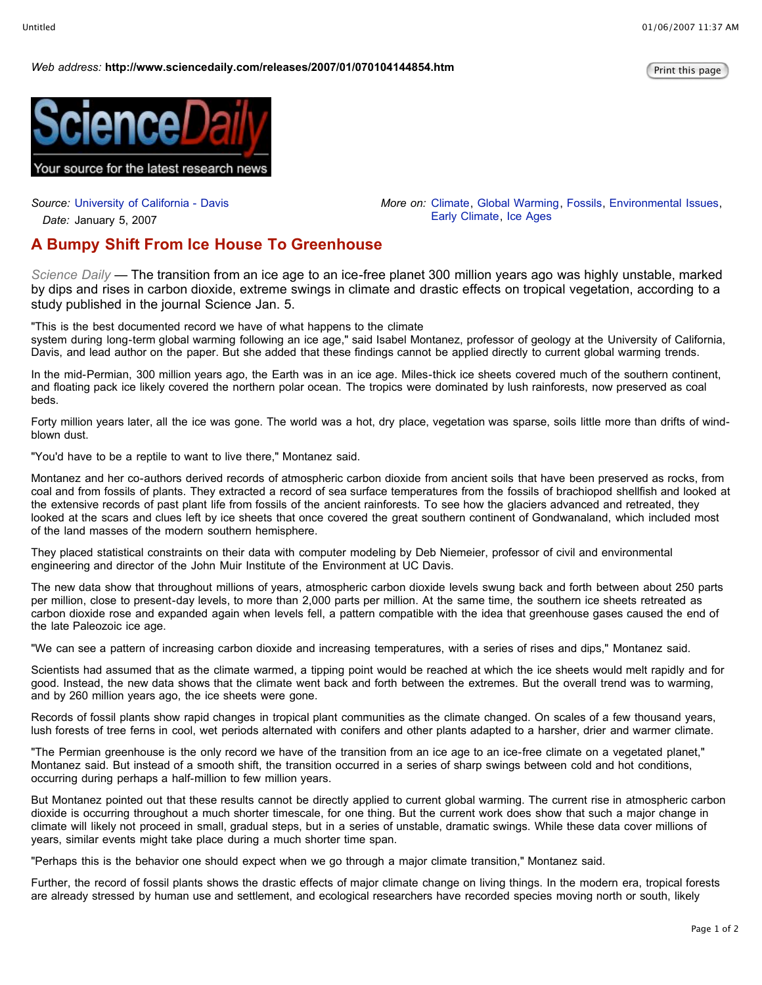## *Web* address: http://www.sciencedaily.com/releases/2007/01/070104144854.htm

*More on:* Climate, Global Warming, Fossils, Environmental Issues,

Early Climate, Ice Ages



*Source:* University of California - Davis

*Date:* January 5, 2007

## **A Bumpy Shift From Ice House To Greenhouse**

*Science Daily —* The transition from an ice age to an ice-free planet 300 million years ago was highly unstable, marked by dips and rises in carbon dioxide, extreme swings in climate and drastic effects on tropical vegetation, according to a study published in the journal Science Jan. 5.

"This is the best documented record we have of what happens to the climate

system during long-term global warming following an ice age," said Isabel Montanez, professor of geology at the University of California, Davis, and lead author on the paper. But she added that these findings cannot be applied directly to current global warming trends.

In the mid-Permian, 300 million years ago, the Earth was in an ice age. Miles-thick ice sheets covered much of the southern continent, and floating pack ice likely covered the northern polar ocean. The tropics were dominated by lush rainforests, now preserved as coal beds.

Forty million years later, all the ice was gone. The world was a hot, dry place, vegetation was sparse, soils little more than drifts of windblown dust.

"You'd have to be a reptile to want to live there," Montanez said.

Montanez and her co-authors derived records of atmospheric carbon dioxide from ancient soils that have been preserved as rocks, from coal and from fossils of plants. They extracted a record of sea surface temperatures from the fossils of brachiopod shellfish and looked at the extensive records of past plant life from fossils of the ancient rainforests. To see how the glaciers advanced and retreated, they looked at the scars and clues left by ice sheets that once covered the great southern continent of Gondwanaland, which included most of the land masses of the modern southern hemisphere.

They placed statistical constraints on their data with computer modeling by Deb Niemeier, professor of civil and environmental engineering and director of the John Muir Institute of the Environment at UC Davis.

The new data show that throughout millions of years, atmospheric carbon dioxide levels swung back and forth between about 250 parts per million, close to present-day levels, to more than 2,000 parts per million. At the same time, the southern ice sheets retreated as carbon dioxide rose and expanded again when levels fell, a pattern compatible with the idea that greenhouse gases caused the end of the late Paleozoic ice age.

"We can see a pattern of increasing carbon dioxide and increasing temperatures, with a series of rises and dips," Montanez said.

Scientists had assumed that as the climate warmed, a tipping point would be reached at which the ice sheets would melt rapidly and for good. Instead, the new data shows that the climate went back and forth between the extremes. But the overall trend was to warming, and by 260 million years ago, the ice sheets were gone.

Records of fossil plants show rapid changes in tropical plant communities as the climate changed. On scales of a few thousand years, lush forests of tree ferns in cool, wet periods alternated with conifers and other plants adapted to a harsher, drier and warmer climate.

"The Permian greenhouse is the only record we have of the transition from an ice age to an ice-free climate on a vegetated planet," Montanez said. But instead of a smooth shift, the transition occurred in a series of sharp swings between cold and hot conditions, occurring during perhaps a half-million to few million years.

But Montanez pointed out that these results cannot be directly applied to current global warming. The current rise in atmospheric carbon dioxide is occurring throughout a much shorter timescale, for one thing. But the current work does show that such a major change in climate will likely not proceed in small, gradual steps, but in a series of unstable, dramatic swings. While these data cover millions of years, similar events might take place during a much shorter time span.

"Perhaps this is the behavior one should expect when we go through a major climate transition," Montanez said.

Further, the record of fossil plants shows the drastic effects of major climate change on living things. In the modern era, tropical forests are already stressed by human use and settlement, and ecological researchers have recorded species moving north or south, likely